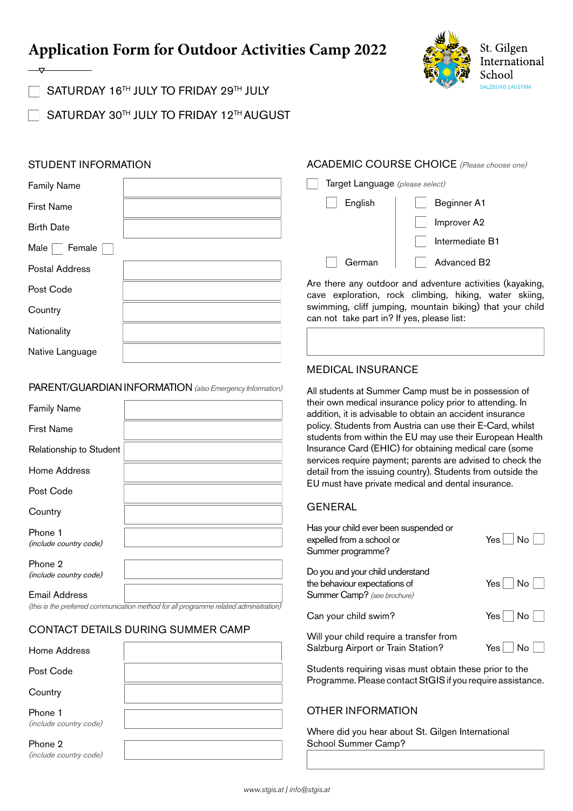# **Application Form for Outdoor Activities Camp 2022**



SATURDAY 16<sup>TH</sup> JULY TO FRIDAY 29TH JULY

SATURDAY 30TH JULY TO FRIDAY 12TH AUGUST

# STUDENT INFORMATION

| <b>Family Name</b>    | Target Language (please select)            |                                                                                          |
|-----------------------|--------------------------------------------|------------------------------------------------------------------------------------------|
| <b>First Name</b>     | English                                    | Beginner A1                                                                              |
| <b>Birth Date</b>     |                                            | Improver A2                                                                              |
| Male<br>Female        |                                            | Intermediate I                                                                           |
| <b>Postal Address</b> | German                                     | <b>Advanced B2</b>                                                                       |
| Post Code             |                                            | Are there any outdoor and adventure activiti<br>cave exploration, rock climbing, hiking, |
| Country               | can not take part in? If yes, please list: | swimming, cliff jumping, mountain biking) th                                             |
| Nationality           |                                            |                                                                                          |
| Native Language       |                                            |                                                                                          |

#### PARENT/GUARDIAN INFORMATION (also Emergency Information)

| <b>Family Name</b>                |  |
|-----------------------------------|--|
| <b>First Name</b>                 |  |
| Relationship to Student           |  |
| Home Address                      |  |
| Post Code                         |  |
| Country                           |  |
| Phone 1<br>(include country code) |  |
| Phone 2<br>(include country code) |  |
| Email Address                     |  |

(this is the preferred communication method for all programme related administration)

# CONTACT DETAILS DURING SUMMER CAMP

| Home Address                      |  |
|-----------------------------------|--|
| Post Code                         |  |
| Country                           |  |
| Phone 1<br>(include country code) |  |
| Phone 2<br>(include country code) |  |

# ACADEMIC COURSE CHOICE (Please choose one)

|         | <b>I'di yot Lariyuayo</b> ( <i>picase select)</i> |  |  |
|---------|---------------------------------------------------|--|--|
| English | Beginner A1                                       |  |  |
|         | Improver A2                                       |  |  |
|         | Intermediate B1                                   |  |  |
| German  | Advanced B <sub>2</sub>                           |  |  |

activities (kayaking, iking, water skiing, king) that your child can not take part in? If yes, please list:

# MEDICAL INSURANCE

All students at Summer Camp must be in possession of their own medical insurance policy prior to attending. In addition, it is advisable to obtain an accident insurance policy. Students from Austria can use their E-Card, whilst students from within the EU may use their European Health Insurance Card (EHIC) for obtaining medical care (some services require payment; parents are advised to check the detail from the issuing country). Students from outside the EU must have private medical and dental insurance.

#### **GENERAL**

| Has your child ever been suspended or<br>expelled from a school or<br>Summer programme?          | Yes No |
|--------------------------------------------------------------------------------------------------|--------|
| Do you and your child understand<br>the behaviour expectations of<br>Summer Camp? (see brochure) | Yes No |
| Can your child swim?                                                                             | Yes No |
| Will your child require a transfer from<br>Salzburg Airport or Train Station?                    | Yes l  |

Students requiring visas must obtain these prior to the Programme. Please contact StGIS if you require assistance.

# OTHER INFORMATION

Where did you hear about St. Gilgen International School Summer Camp?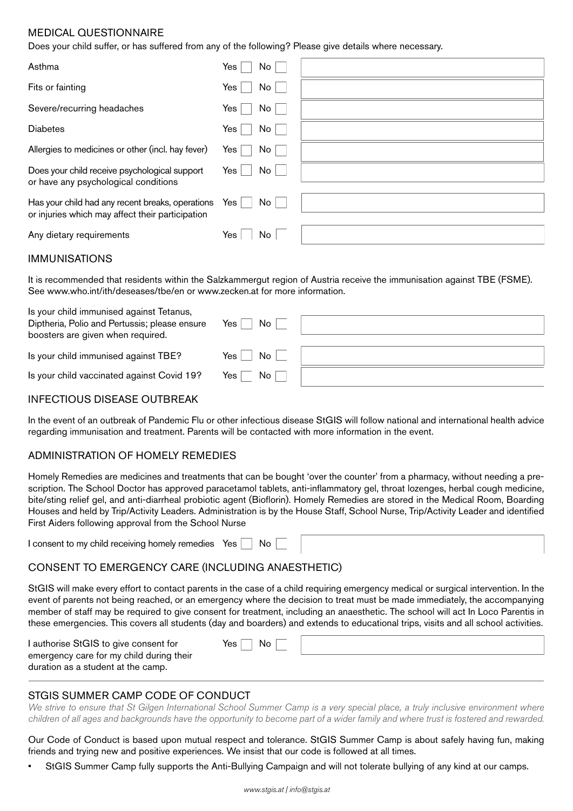# MEDICAL QUESTIONNAIRE

Does your child suffer, or has suffered from any of the following? Please give details where necessary.

| Asthma                                                                                               | Yes  <br>No            |  |
|------------------------------------------------------------------------------------------------------|------------------------|--|
| Fits or fainting                                                                                     | Yes <sub>1</sub><br>No |  |
| Severe/recurring headaches                                                                           | No<br>Yes              |  |
| <b>Diabetes</b>                                                                                      | Yes  <br>No            |  |
| Allergies to medicines or other (incl. hay fever)                                                    | No<br>Yes l            |  |
| Does your child receive psychological support<br>or have any psychological conditions                | No<br>Yes l            |  |
| Has your child had any recent breaks, operations<br>or injuries which may affect their participation | Yes $ $<br>No          |  |
| Any dietary requirements                                                                             | Yes<br>No.             |  |

#### IMMUNISATIONS

It is recommended that residents within the Salzkammergut region of Austria receive the immunisation against TBE (FSME). See [www.who.int/ith/deseases/tbe/en](http://www.who.int/ith/deseases/tbe/en) or [www.zecken.at](http://www.zecken.at) for more information.

| Is your child immunised against Tetanus,<br>Diptheria, Polio and Pertussis; please ensure<br>boosters are given when required. | No<br>Yes         |  |
|--------------------------------------------------------------------------------------------------------------------------------|-------------------|--|
| Is your child immunised against TBE?                                                                                           | No<br>Yes         |  |
| Is your child vaccinated against Covid 19?                                                                                     | No<br>Yes $\vert$ |  |

#### INFECTIOUS DISEASE OUTBREAK

In the event of an outbreak of Pandemic Flu or other infectious disease StGIS will follow national and international health advice regarding immunisation and treatment. Parents will be contacted with more information in the event.

#### ADMINISTRATION OF HOMELY REMEDIES

Homely Remedies are medicines and treatments that can be bought 'over the counter' from a pharmacy, without needing a prescription. The School Doctor has approved paracetamol tablets, anti-inflammatory gel, throat lozenges, herbal cough medicine, bite/sting relief gel, and anti-diarrheal probiotic agent (Bioflorin). Homely Remedies are stored in the Medical Room, Boarding Houses and held by Trip/Activity Leaders. Administration is by the House Staff, School Nurse, Trip/Activity Leader and identified First Aiders following approval from the School Nurse

I consent to my child receiving homely remedies Yes  $\Box$  No

# CONSENT TO EMERGENCY CARE (INCLUDING ANAESTHETIC)

StGIS will make every effort to contact parents in the case of a child requiring emergency medical or surgical intervention. In the event of parents not being reached, or an emergency where the decision to treat must be made immediately, the accompanying member of staff may be required to give consent for treatment, including an anaesthetic. The school will act In Loco Parentis in these emergencies. This covers all students (day and boarders) and extends to educational trips, visits and all school activities.

| I authorise StGIS to give consent for                                          | No<br>Yes $\vert$ |  |
|--------------------------------------------------------------------------------|-------------------|--|
| emergency care for my child during their<br>duration as a student at the camp. |                   |  |

# STGIS SUMMER CAMP CODE OF CONDUCT

We strive to ensure that St Gilgen International School Summer Camp is a very special place, a truly inclusive environment where *children of all ages and backgrounds have the opportunity to become part of a wider family and where trust is fostered and rewarded.*

Our Code of Conduct is based upon mutual respect and tolerance. StGIS Summer Camp is about safely having fun, making friends and trying new and positive experiences. We insist that our code is followed at all times.

StGIS Summer Camp fully supports the Anti-Bullying Campaign and will not tolerate bullying of any kind at our camps.